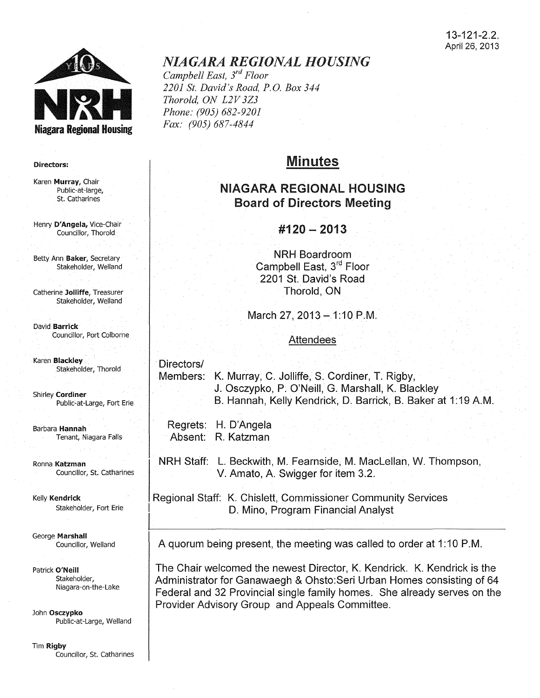

#### Directors:

Karen Murray, Chair Public-at-large, St. catharines

Henry D'Angela, Vice-Chair Councillor, Thorold

Betty Ann Baker, Secretary Stakeholder, Weiland

Catherine Jolliffe, Treasurer Stakeholder, Weiland

David Barrick Councillor, Port Colborne

Karen Blackley Stakeholder, Thorold

Shirley Cordiner Public-at-Large, Fort Erie

Barbara Hannah Tenant, Niagara Falls

Ronna Katzman Councillor, St. Catharines

Kelly Kendrick Stakeholder, Fort Erie

George Marshall Councillor, Weiland

Patrick O'Neill Stakeholder, Niagara-on-the-Lake

John Osczypko Public-at-Large, Weiland

Tim Rigby Councillor, St. Catharines

# *NIAGARA REGIONAL HOUSING*

*Campbell East, 3rd Floor 2201 St. David's Road, P.O. Box 344 Thorold, ON L2V 3Z3 Phone: (905) 682-9201 Fax: (905) 687-4844* 

# Minutes

# NIAGARA REGIONAL HOUSING Board of Directors Meeting

# #120- 2013

NRH Boardroom Campbell East, 3rd Floor 2201 St. David's Road Thorold, ON

March 27, 2013 - 1:10 P.M.

# Attendees

### Directors/

Members: K. Murray, C. Jolliffe, S. Cordiner, T. Rigby, J. Osczypko, P. O'Neill, G. Marshall, K. Blackley B. Hannah, Kelly Kendrick, D. Barrick, B. Baker at 1:19 A.M.

Regrets: H. D'Angela Absent: R. Katzman

NRH Staff: L. Beckwith, M. Fearnside, M. Maclellan, W. Thompson, V. Amato, A. Swigger for item 3.2.

Regional Staff: K. Chislett, Commissioner Community Services D. Mino, Program Financial Analyst

A quorum being present, the meeting was called to order at 1:10 P.M.

The Chair welcomed the newest Director, K. Kendrick. K. Kendrick is the Administrator for Ganawaegh & Ohsto:Seri Urban Homes consisting of 64 Federal and 32 Provincial single family homes. She already serves on the Provider Advisory Group and Appeals Committee.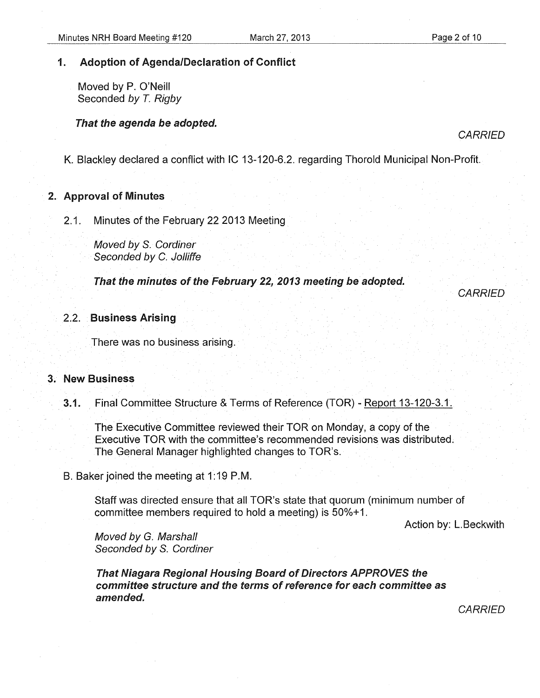# 1. Adoption of Agenda/Declaration of Conflict

Moved by P. O'Neill Seconded by T. Rigby

### That the agenda be adopted.

**CARRIED** 

**CARRIED** 

K. Blackley declared a conflict with IC 13-120-6.2. regarding Thorold Municipal Non-Profit.

# 2. Approval of Minutes

2.1. Minutes of the February 22 2013 Meeting

Moved by S. Cordiner Seconded by C. Jolliffe

That the minutes of the February 22, 2013 meeting be adopted.

# 2.2. Business Arising

There was no business arising.

# 3. New Business

3.1. Final Committee Structure & Terms of Reference (TOR)- Report 13-120-3.1.

The Executive Committee reviewed their TOR on Monday, a copy of the Executive TOR with the committee's recommended revisions was distributed. The General Manager highlighted changes to TOR's.

B. Baker joined the meeting at 1:19 P.M.

Staff was directed ensure that all TOR's state that quorum (minimum number of committee members required to hold a meeting) is 50%+1.

Action by: L. Beckwith

Moved by G. Marshall Seconded by S. Cordiner

That Niagara Regional Housing Board of Directors APPROVES the committee structure and the terms of reference for each committee as amended.

**CARRIED**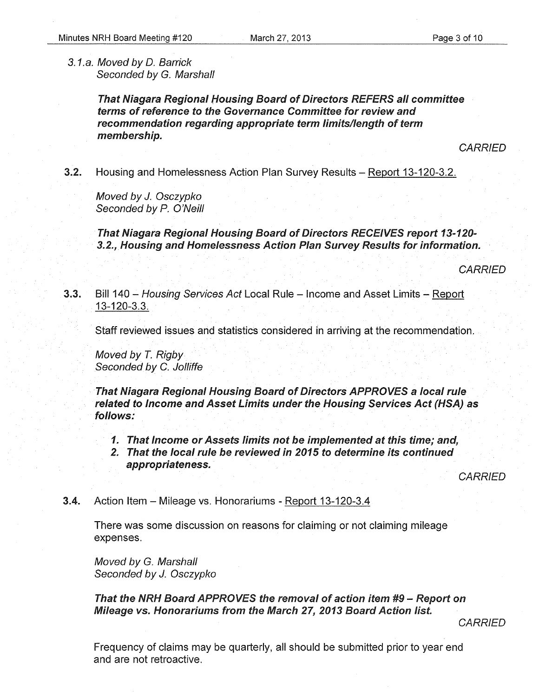3.1.a. Moved by D. Barrick Seconded by G. Marshall

> That Niagara Regional Housing Board of Directors REFERS all committee terms of reference to the Governance Committee for review and recommendation regarding appropriate term limits/length of term membership.

> > **CARRIED**

3.2. Housing and Homelessness Action Plan Survey Results - Report 13-120-3.2.

Moved by *J.* Osczypko Seconded by P. O'Neill

That Niagara Regional Housing Board of Directors RECEIVES report 13-120- 3.2., Housing and Homelessness Action Plan Survey Results for information.

**CARRIED** 

3.3. Bill 140 - Housing Services Act Local Rule - Income and Asset Limits - Report 13-120-3.3.

Staff reviewed issues and statistics considered in arriving at the recommendation.

Moved by T. Rigby Seconded by C. Jolliffe

That Niagara Regional Housing Board of Directors APPROVES a local rule related to Income and Asset Limits under the Housing Services Act (HSA) as follows:

- 1. That Income or Assets limits not be implemented at this time; and,
- 2. That the local rule be reviewed in 2015 to determine its continued appropriateness.

**CARRIED** 

**3.4.** Action Item – Mileage vs. Honorariums - Report 13-120-3.4

There was some discussion on reasons for claiming or not claiming mileage expenses.

Moved by G. Marshall Seconded by *J.* Osczypko

That the NRH Board APPROVES the removal of action item *#9-* Report on Mileage vs. Honorariums from the March 27, 2013 Board Action list.

**CARRIED** 

Frequency of claims may be quarterly, all should be submitted prior to year end and are not retroactive.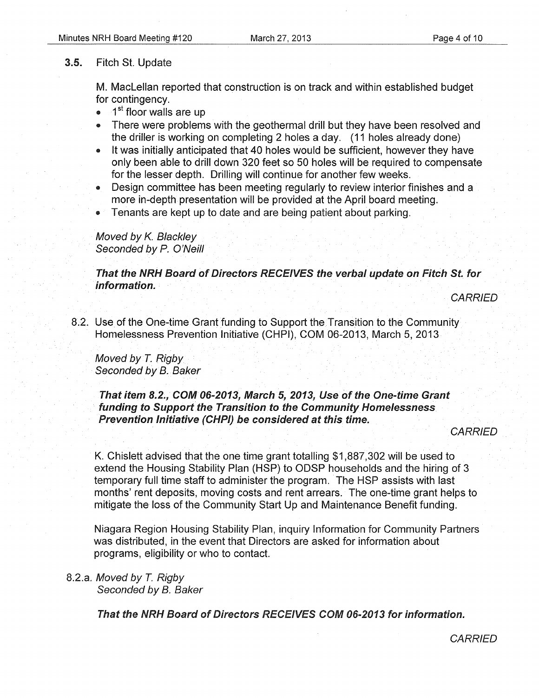#### 3.5. Fitch St. Update

M. Maclellan reported that construction is on track and within established budget for contingency.

- $\bullet$  1<sup>st</sup> floor walls are up
- There were problems with the geothermal drill but they have been resolved and the driller is working on completing 2 holes a day. (11 holes already done)
- It was initially anticipated that 40 holes would be sufficient, however they have only been able to drill down 320 feet so 50 holes will be required to compensate for the lesser depth. Drilling will continue for another few weeks.
- Design committee has been meeting regularly to review interior finishes and a more in-depth presentation will be provided at the April board meeting.
- Tenants are kept up to date and are being patient about parking.

### Moved by K. Blackley Seconded by P. O'Neill

That the NRH Board of Directors RECEIVES the verbal update on Fitch St. for information.

**CARRIED** 

8.2. Use of the One-time Grant funding to Support the Transition to the Community Homelessness Prevention Initiative (CHPI), COM 06-2013, March 5, 2013

Moved by *T.* Rigby Seconded by B. Baker

That item 8.2., COM 06-2013, March 5, 2013, Use of the One-time Grant funding to Support the Transition to the Community Homelessness Prevention Initiative (CHPI) be considered at this time.

**CARRIED** 

K. Chislett advised that the one time grant totalling \$1,887,302 will be used to extend the Housing Stability Plan (HSP) to ODSP households and the hiring of 3 temporary full time staff to administer the program. The HSP assists with last months' rent deposits, moving costs and rent arrears. The one-time grant helps to mitigate the loss of the Community Start Up and Maintenance Benefit funding.

Niagara Region Housing Stability Plan, inquiry Information for Community Partners was distributed, in the event that Directors are asked for information about programs, eligibility or who to contact.

# 8.2.a. Moved by *T.* Rigby

Seconded by B. Baker

That the NRH Board of Directors RECEIVES COM 06-2013 for information.

**CARRIED**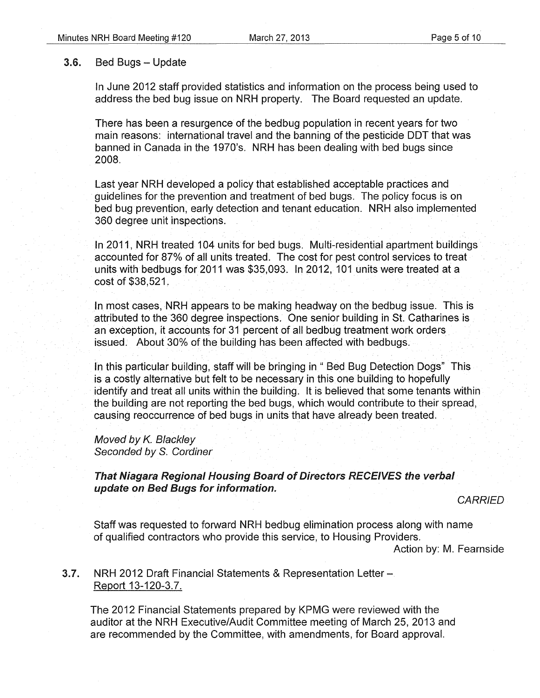#### 3.6. Bed Bugs - Update

In June 2012 staff provided statistics and information on the process being used to address the bed bug issue on NRH property. The Board requested an update.

There has been a resurgence of the bedbug population in recent years for two main reasons: international travel and the banning of the pesticide DDT that was banned in Canada in the 1970's. NRH has been dealing with bed bugs since 2008.

Last year NRH developed a policy that established acceptable practices and guidelines for the prevention and treatment of bed bugs. The policy focus is on bed bug prevention, early detection and tenant education. NRH also implemented 360 degree unit inspections.

In 2011, NRH treated 104 units for bed bugs. Multi-residential apartment buildings accounted for 87% of all units treated. The cost for pest control services to treat units with bedbugs for 2011 was \$35,093. In 2012, 101 units were treated at a cost of \$38,521.

In most cases, NRH appears to be making headway on the bedbug issue. This is attributed to the 360 degree inspections. One senior building in St. Catharines is an exception, it accounts for 31 percent of all bedbug treatment work orders issued. About 30% of the building has been affected with bedbugs.

In this particular building, staff will be bringing in " Bed Bug Detection Dogs" This is a costly alternative but felt to be necessary in this one building to hopefully identify and treat all units within the building. It is believed that some tenants within the building are not reporting the bed bugs, which would contribute to their spread, causing reoccurrence of bed bugs in units that have already been treated.

Moved by K. Blackley Seconded by S. Cordiner

That Niagara Regional Housing Board of Directors RECEIVES the verbal update on Bed Bugs for information.

**CARRIED** 

Staff was requested *to* forward NRH bedbug elimination process along with name of qualified contractors who provide this service, to Housing Providers. Action by: M. Fearnside

**3.7.** NRH 2012 Draft Financial Statements & Representation Letter-Report 13-120-3.7.

The 2012 Financial Statements prepared by KPMG were reviewed with the auditor at the NRH Executive/Audit Committee meeting of March 25, 2013 and are recommended by the Committee, with amendments, for Board approval.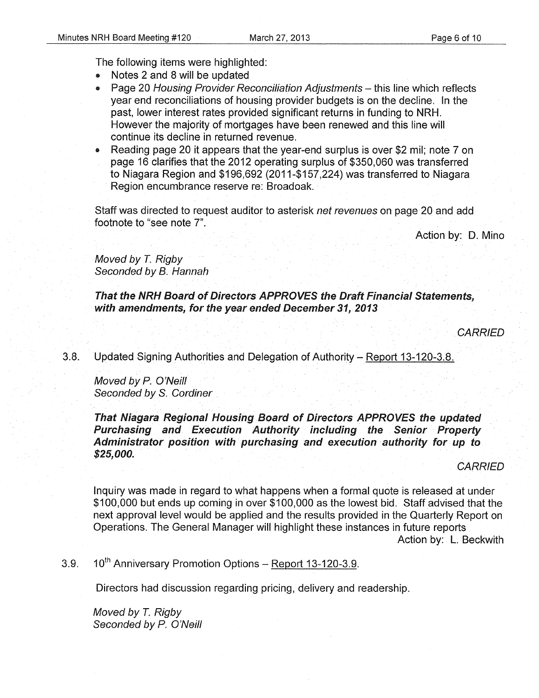The following items were highlighted:

- Notes 2 and 8 will be updated
- Page 20 Housing Provider Reconciliation Adjustments this line which reflects year end reconciliations of housing provider budgets is on the decline. In the past, lower interest rates provided significant returns in funding to NRH. However the majority of mortgages have been renewed and this line will continue its decline in returned revenue.
- Reading page 20 it appears that the year-end surplus is over \$2 mil; note 7 on page 16 clarifies that the 2012 operating surplus of \$350,060 was transferred to Niagara Region and \$196,692 (2011-\$157,224) was transferred to Niagara Region encumbrance reserve re: Broadoak.

Staff was directed to request auditor to asterisk net revenues on page 20 and add footnote to "see note 7".

Action by: D. Mino

Moved by *T.* Rigby Seconded by B. Hannah

That the NRH Board of Directors APPROVES the Draft Financial Statements, with amendments, for the year ended December 31, 2013

**CARRIED** 

3.8. Updated Signing Authorities and Delegation of Authority- Report 13-120-3.8.

Moved by *P.* O'Neill Seconded by S. Cordiner

That Niagara Regional Housing Board of Directors APPROVES the updated Purchasing and Execution Authority including the Senior Property Administrator position with purchasing and execution authority for up to \$25,000.

**CARRIED** 

Inquiry was made in regard to what happens when a formal quote is released at under \$100,000 but ends up coming in over \$100,000 as the lowest bid. Staff advised that the next approval level would be applied and the results provided in the Quarterly Report on Operations. The General Manager will highlight these instances in future reports Action by: L. Beckwith

3.9. 10<sup>th</sup> Anniversary Promotion Options - Report 13-120-3.9.

Directors had discussion regarding pricing, delivery and readership.

Moved by *T.* Rigby Seconded by P. O'Neill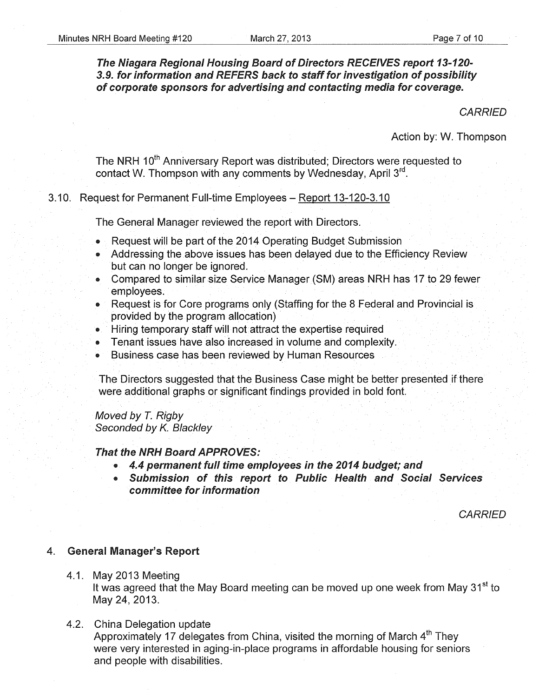# The Niagara Regional Housing Board of Directors RECEIVES report 13-120-3.9. for information and REFERS back to staff for investigation of possibility of corporate sponsors for advertising and contacting media for coverage.

**CARRIED** 

Action by: W. Thompson

The NRH 10<sup>th</sup> Anniversary Report was distributed; Directors were requested to contact W. Thompson with any comments by Wednesday, April 3rd.

#### 3.10. Request for Permanent Full-time Employees - Report 13-120-3.10

The General Manager reviewed the report with Directors.

- Request will be part of the 2014 Operating Budget Submission
- Addressing the above issues has been delayed due to the Efficiency Review but can no longer be ignored.
- Compared to similar size Service Manager (SM) areas NRH has 17 to 29 fewer employees.
- Request is for Core programs only (Staffing for the 8 Federal and Provincial is provided by the program allocation)
- Hiring temporary staff will not attract the expertise required
- Tenant issues have also increased in volume and complexity.
- Business case has been reviewed by Human Resources

The Directors suggested that the Business Case might be better presented if there were additional graphs or significant findings provided in bold font.

Moved by *T.* Rigby Seconded by K. Blackley

#### That the NRH Board APPROVES:

- 4.4 permanent full time employees in the 2014 budget; and
- Submission of this report to Public Health and Social Services committee for information

**CARRIED** 

#### 4. General Manager's Report

4.1. May 2013 Meeting

It was agreed that the May Board meeting can be moved up one week from May 31<sup>st</sup> to May 24, 2013.

4.2. China Delegation update

Approximately 17 delegates from China, visited the morning of March  $4<sup>th</sup>$  They were very interested in aging-in-place programs in affordable housing for seniors and people with disabilities.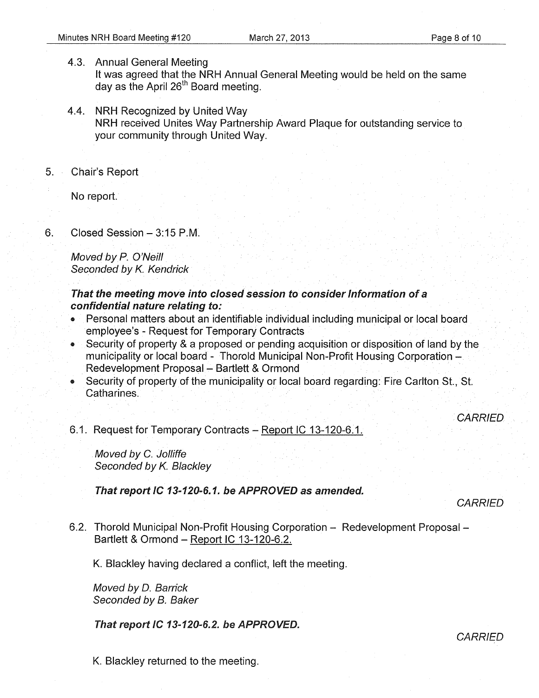4.3. Annual General Meeting

It was agreed that the NRH Annual General Meeting would be held on the same day as the April 26<sup>th</sup> Board meeting.

- 4.4. NRH Recognized by United Way NRH received Unites Way Partnership Award Plaque for outstanding service to your community through United Way.
- 5. Chair's Report

No report.

6. Closed Session-3:15P.M.

Moved by P. O'Neill Seconded by *K.* Kendrick

### That the meeting move into closed session to consider Information of a confidential nature relating to:

- Personal matters about an identifiable individual including municipal or local board employee's- Request for Temporary Contracts
- Security of property & a proposed or pending acquisition or disposition of land by the municipality or local board - Thorold Municipal Non-Profit Housing Corporation -Redevelopment Proposal - Bartlett & Ormond
- Security of property of the municipality or local board regarding: Fire Carlton St., St. Catharines.

CARRIED

### 6.1. Request for Temporary Contracts- Report IC 13-120-6.1.

Moved by C. Jolliffe Seconded by *K.* Blackley

That report IC 13-120-6.1. be APPROVED as amended.

**CARRIED** 

6.2. Thorold Municipal Non-Profit Housing Corporation - Redevelopment Proposal -Bartlett & Ormond- Report IC 13-120-6.2.

K. Blackley having declared a conflict, left the meeting.

Moved by D. Barrick Seconded by B. Baker

That report IC 13-120-6.2. be APPROVED.

**CARRIED** 

K. Blackley returned to the meeting.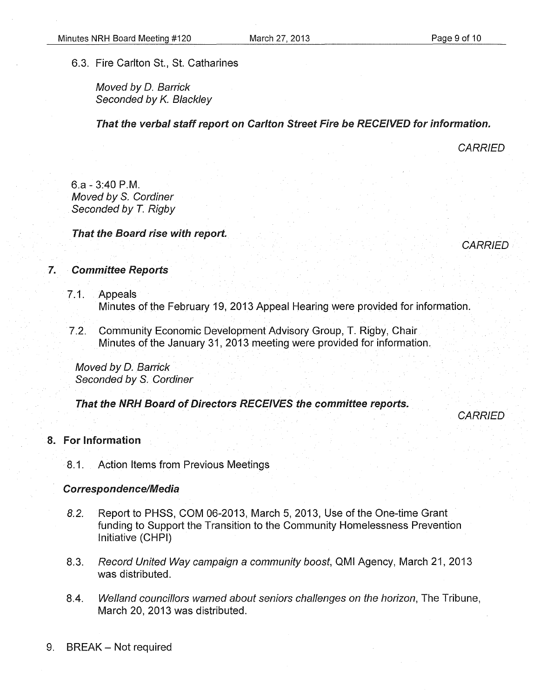#### 6.3. Fire Carlton St., St. Catharines

Moved by D. Barrick Seconded by K. Blackley

That the verbal staff report on Carlton Street Fire be RECEIVED for information.

**CARRIED** 

6.a- 3:40P.M. Moved by S. Cordiner Seconded by *T.* Rigby

That the Board rise with report.



# 7. Committee Reports

- 7.1. Appeals Minutes of the February 19, 2013 Appeal Hearing were provided for information.
- 7.2. Community Economic Development Advisory Group, T. Rigby, Chair Minutes of the January 31, 2013 meeting were provided for information.

Moved by D. Barrick Seconded by S. Cordiner

That the NRH Board of Directors RECEIVES the committee reports.

**CARRIED** 

# 8. For Information

8. 1. Action Items from Previous Meetings

#### Correspondence/Media

- 8.2. Report to PHSS, COM 06-2013, March 5, 2013, Use of the One-time Grant funding to Support the Transition to the Community Homelessness Prevention Initiative (CHPI)
- 8.3. Record United Way campaign a community boost, QMI Agency, March 21, 2013 was distributed.
- 8.4. Weiland councillors warned about seniors challenges on the horizon, The Tribune, March 20, 2013 was distributed.
- 9. BREAK- Not required